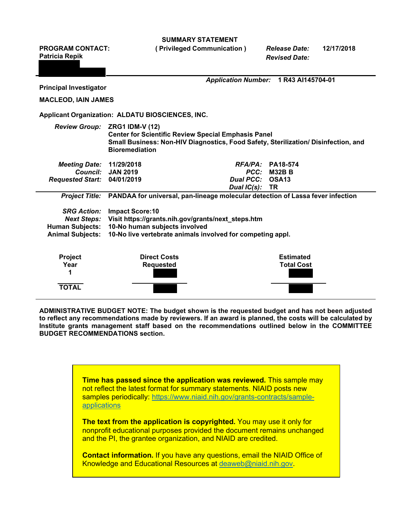**SUMMARY STATEMENT**

**PROGRAM CONTACT: ( Privileged Communication )** *Release Date:* **12/17/2018 Patricia Repik** *Revised Date: Application Number:* **1 R43 AI145704-01 Principal Investigator MACLEOD, IAIN JAMES Applicant Organization: ALDATU BIOSCIENCES, INC.** *Review Group:* **ZRG1 IDM-V (12) Center for Scientific Review Special Emphasis Panel Small Business: Non-HIV Diagnostics, Food Safety, Sterilization/ Disinfection, and Bioremediation** *Meeting Date:* **11/29/2018** *RFA/PA:* **PA18-574** *Council:* **JAN 2019** *PCC:* **M32B B** *Requested Start:* **04/01/2019** *Dual PCC:* **OSA13** *Dual IC(s):* **TR** *Project Title:* **PANDAA for universal, pan-lineage molecular detection of Lassa fever infection** *SRG Action:* **Impact Score:10** *Next Steps:* **Visit https://grants.nih.gov/grants/next\_steps.htm Human Subjects: 10-No human subjects involved Animal Subjects: 10-No live vertebrate animals involved for competing appl. Project Direct Costs Estimated Year Requested Total Cost 1 TOTAL**

**ADMINISTRATIVE BUDGET NOTE: The budget shown is the requested budget and has not been adjusted to reflect any recommendations made by reviewers. If an award is planned, the costs will be calculated by Institute grants management staff based on the recommendations outlined below in the COMMITTEE BUDGET RECOMMENDATIONS section.**

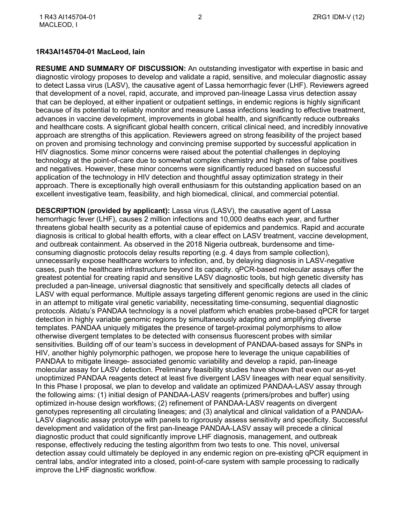#### **1R43AI145704-01 MacLeod, Iain**

**RESUME AND SUMMARY OF DISCUSSION:** An outstanding investigator with expertise in basic and diagnostic virology proposes to develop and validate a rapid, sensitive, and molecular diagnostic assay to detect Lassa virus (LASV), the causative agent of Lassa hemorrhagic fever (LHF). Reviewers agreed that development of a novel, rapid, accurate, and improved pan-lineage Lassa virus detection assay that can be deployed, at either inpatient or outpatient settings, in endemic regions is highly significant because of its potential to reliably monitor and measure Lassa infections leading to effective treatment, advances in vaccine development, improvements in global health, and significantly reduce outbreaks and healthcare costs. A significant global health concern, critical clinical need, and incredibly innovative approach are strengths of this application. Reviewers agreed on strong feasibility of the project based on proven and promising technology and convincing premise supported by successful application in HIV diagnostics. Some minor concerns were raised about the potential challenges in deploying technology at the point-of-care due to somewhat complex chemistry and high rates of false positives and negatives. However, these minor concerns were significantly reduced based on successful application of the technology in HIV detection and thoughtful assay optimization strategy in their approach. There is exceptionally high overall enthusiasm for this outstanding application based on an excellent investigative team, feasibility, and high biomedical, clinical, and commercial potential.

**DESCRIPTION (provided by applicant):** Lassa virus (LASV), the causative agent of Lassa hemorrhagic fever (LHF), causes 2 million infections and 10,000 deaths each year, and further threatens global health security as a potential cause of epidemics and pandemics. Rapid and accurate diagnosis is critical to global health efforts, with a clear effect on LASV treatment, vaccine development, and outbreak containment. As observed in the 2018 Nigeria outbreak, burdensome and timeconsuming diagnostic protocols delay results reporting (e.g. 4 days from sample collection), unnecessarily expose healthcare workers to infection, and, by delaying diagnosis in LASV-negative cases, push the healthcare infrastructure beyond its capacity. qPCR-based molecular assays offer the greatest potential for creating rapid and sensitive LASV diagnostic tools, but high genetic diversity has precluded a pan-lineage, universal diagnostic that sensitively and specifically detects all clades of LASV with equal performance. Multiple assays targeting different genomic regions are used in the clinic in an attempt to mitigate viral genetic variability, necessitating time-consuming, sequential diagnostic protocols. Aldatu's PANDAA technology is a novel platform which enables probe-based qPCR for target detection in highly variable genomic regions by simultaneously adapting and amplifying diverse templates. PANDAA uniquely mitigates the presence of target-proximal polymorphisms to allow otherwise divergent templates to be detected with consensus fluorescent probes with similar sensitivities. Building off of our team's success in development of PANDAA-based assays for SNPs in HIV, another highly polymorphic pathogen, we propose here to leverage the unique capabilities of PANDAA to mitigate lineage- associated genomic variability and develop a rapid, pan-lineage molecular assay for LASV detection. Preliminary feasibility studies have shown that even our as-yet unoptimized PANDAA reagents detect at least five divergent LASV lineages with near equal sensitivity. In this Phase I proposal, we plan to develop and validate an optimized PANDAA-LASV assay through the following aims: (1) initial design of PANDAA-LASV reagents (primers/probes and buffer) using optimized in-house design workflows; (2) refinement of PANDAA-LASV reagents on divergent genotypes representing all circulating lineages; and (3) analytical and clinical validation of a PANDAA-LASV diagnostic assay prototype with panels to rigorously assess sensitivity and specificity. Successful development and validation of the first pan-lineage PANDAA-LASV assay will precede a clinical diagnostic product that could significantly improve LHF diagnosis, management, and outbreak response, effectively reducing the testing algorithm from two tests to one. This novel, universal detection assay could ultimately be deployed in any endemic region on pre-existing qPCR equipment in central labs, and/or integrated into a closed, point-of-care system with sample processing to radically improve the LHF diagnostic workflow.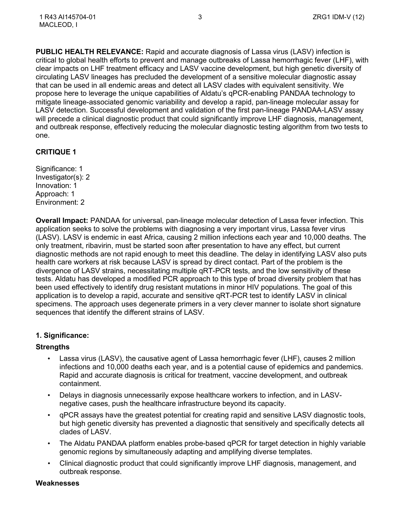**PUBLIC HEALTH RELEVANCE:** Rapid and accurate diagnosis of Lassa virus (LASV) infection is critical to global health efforts to prevent and manage outbreaks of Lassa hemorrhagic fever (LHF), with clear impacts on LHF treatment efficacy and LASV vaccine development, but high genetic diversity of circulating LASV lineages has precluded the development of a sensitive molecular diagnostic assay that can be used in all endemic areas and detect all LASV clades with equivalent sensitivity. We propose here to leverage the unique capabilities of Aldatu's qPCR-enabling PANDAA technology to mitigate lineage-associated genomic variability and develop a rapid, pan-lineage molecular assay for LASV detection. Successful development and validation of the first pan-lineage PANDAA-LASV assay will precede a clinical diagnostic product that could significantly improve LHF diagnosis, management, and outbreak response, effectively reducing the molecular diagnostic testing algorithm from two tests to one.

## **CRITIQUE 1**

Significance: 1 Investigator(s): 2 Innovation: 1 Approach: 1 Environment: 2

**Overall Impact:** PANDAA for universal, pan-lineage molecular detection of Lassa fever infection. This application seeks to solve the problems with diagnosing a very important virus, Lassa fever virus (LASV). LASV is endemic in east Africa, causing 2 million infections each year and 10,000 deaths. The only treatment, ribavirin, must be started soon after presentation to have any effect, but current diagnostic methods are not rapid enough to meet this deadline. The delay in identifying LASV also puts health care workers at risk because LASV is spread by direct contact. Part of the problem is the divergence of LASV strains, necessitating multiple qRT-PCR tests, and the low sensitivity of these tests. Aldatu has developed a modified PCR approach to this type of broad diversity problem that has been used effectively to identify drug resistant mutations in minor HIV populations. The goal of this application is to develop a rapid, accurate and sensitive qRT-PCR test to identify LASV in clinical specimens. The approach uses degenerate primers in a very clever manner to isolate short signature sequences that identify the different strains of LASV.

# **1. Significance:**

## **Strengths**

- Lassa virus (LASV), the causative agent of Lassa hemorrhagic fever (LHF), causes 2 million infections and 10,000 deaths each year, and is a potential cause of epidemics and pandemics. Rapid and accurate diagnosis is critical for treatment, vaccine development, and outbreak containment.
- Delays in diagnosis unnecessarily expose healthcare workers to infection, and in LASVnegative cases, push the healthcare infrastructure beyond its capacity.
- qPCR assays have the greatest potential for creating rapid and sensitive LASV diagnostic tools, but high genetic diversity has prevented a diagnostic that sensitively and specifically detects all clades of LASV.
- The Aldatu PANDAA platform enables probe-based qPCR for target detection in highly variable genomic regions by simultaneously adapting and amplifying diverse templates.
- Clinical diagnostic product that could significantly improve LHF diagnosis, management, and outbreak response.

#### **Weaknesses**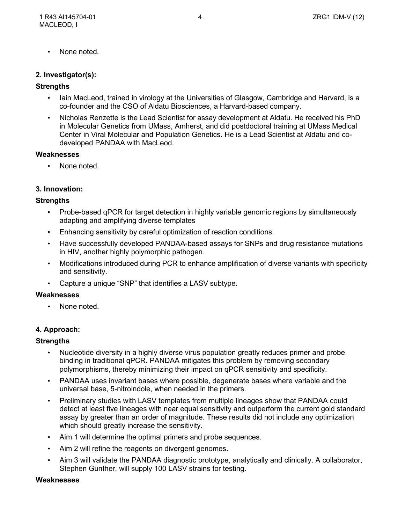• None noted.

#### **2. Investigator(s):**

#### **Strengths**

- Iain MacLeod, trained in virology at the Universities of Glasgow, Cambridge and Harvard, is a co-founder and the CSO of Aldatu Biosciences, a Harvard-based company.
- Nicholas Renzette is the Lead Scientist for assay development at Aldatu. He received his PhD in Molecular Genetics from UMass, Amherst, and did postdoctoral training at UMass Medical Center in Viral Molecular and Population Genetics. He is a Lead Scientist at Aldatu and codeveloped PANDAA with MacLeod.

#### **Weaknesses**

None noted.

## **3. Innovation:**

## **Strengths**

- Probe-based qPCR for target detection in highly variable genomic regions by simultaneously adapting and amplifying diverse templates
- Enhancing sensitivity by careful optimization of reaction conditions.
- Have successfully developed PANDAA-based assays for SNPs and drug resistance mutations in HIV, another highly polymorphic pathogen.
- Modifications introduced during PCR to enhance amplification of diverse variants with specificity and sensitivity.
- Capture a unique "SNP" that identifies a LASV subtype.

#### **Weaknesses**

• None noted.

## **4. Approach:**

## **Strengths**

- Nucleotide diversity in a highly diverse virus population greatly reduces primer and probe binding in traditional qPCR. PANDAA mitigates this problem by removing secondary polymorphisms, thereby minimizing their impact on qPCR sensitivity and specificity.
- PANDAA uses invariant bases where possible, degenerate bases where variable and the universal base, 5-nitroindole, when needed in the primers.
- Preliminary studies with LASV templates from multiple lineages show that PANDAA could detect at least five lineages with near equal sensitivity and outperform the current gold standard assay by greater than an order of magnitude. These results did not include any optimization which should greatly increase the sensitivity.
- Aim 1 will determine the optimal primers and probe sequences.
- Aim 2 will refine the reagents on divergent genomes.
- Aim 3 will validate the PANDAA diagnostic prototype, analytically and clinically. A collaborator, Stephen Günther, will supply 100 LASV strains for testing.

#### **Weaknesses**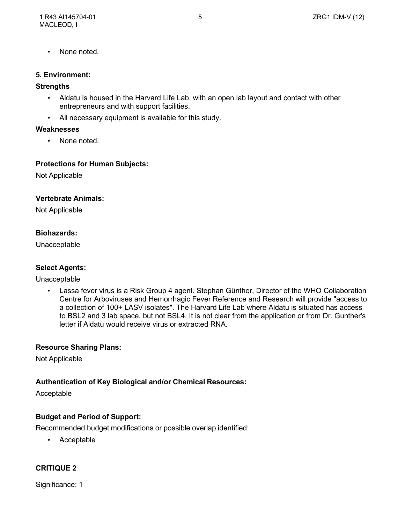• None noted.

#### **5. Environment:**

#### **Strengths**

- Aldatu is housed in the Harvard Life Lab, with an open lab layout and contact with other entrepreneurs and with support facilities.
- All necessary equipment is available for this study.

#### **Weaknesses**

None noted.

#### **Protections for Human Subjects:**

Not Applicable

#### **Vertebrate Animals:**

Not Applicable

## **Biohazards:**

Unacceptable

## **Select Agents:**

Unacceptable

• Lassa fever virus is a Risk Group 4 agent. Stephan Günther, Director of the WHO Collaboration Centre for Arboviruses and Hemorrhagic Fever Reference and Research will provide "access to a collection of 100+ LASV isolates". The Harvard Life Lab where Aldatu is situated has access to BSL2 and 3 lab space, but not BSL4. It is not clear from the application or from Dr. Gunther's letter if Aldatu would receive virus or extracted RNA.

## **Resource Sharing Plans:**

Not Applicable

#### **Authentication of Key Biological and/or Chemical Resources:**

Acceptable

## **Budget and Period of Support:**

Recommended budget modifications or possible overlap identified:

• Acceptable

## **CRITIQUE 2**

Significance: 1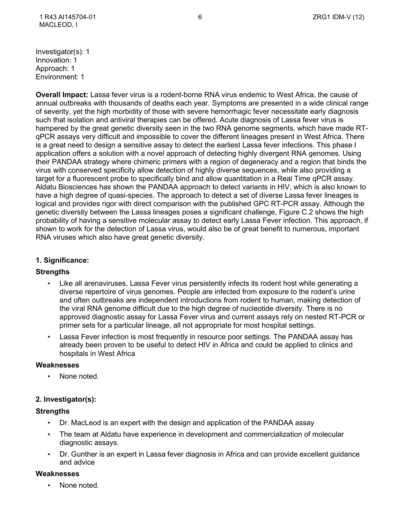Investigator(s): 1 Innovation: 1 Approach: 1 Environment: 1

**Overall Impact:** Lassa fever virus is a rodent-borne RNA virus endemic to West Africa, the cause of annual outbreaks with thousands of deaths each year. Symptoms are presented in a wide clinical range of severity, yet the high morbidity of those with severe hemorrhagic fever necessitate early diagnosis such that isolation and antiviral therapies can be offered. Acute diagnosis of Lassa fever virus is hampered by the great genetic diversity seen in the two RNA genome segments, which have made RTqPCR assays very difficult and impossible to cover the different lineages present in West Africa. There is a great need to design a sensitive assay to detect the earliest Lassa fever infections. This phase I application offers a solution with a novel approach of detecting highly divergent RNA genomes. Using their PANDAA strategy where chimeric primers with a region of degeneracy and a region that binds the virus with conserved specificity allow detection of highly diverse sequences, while also providing a target for a fluorescent probe to specifically bind and allow quantitation in a Real Time qPCR assay. Aldatu Biosciences has shown the PANDAA approach to detect variants in HIV, which is also known to have a high degree of quasi-species. The approach to detect a set of diverse Lassa fever lineages is logical and provides rigor with direct comparison with the published GPC RT-PCR assay. Although the genetic diversity between the Lassa lineages poses a significant challenge, Figure C.2 shows the high probability of having a sensitive molecular assay to detect early Lassa Fever infection. This approach, if shown to work for the detection of Lassa virus, would also be of great benefit to numerous, important RNA viruses which also have great genetic diversity.

# **1. Significance:**

## **Strengths**

- Like all arenaviruses, Lassa Fever virus persistently infects its rodent host while generating a diverse repertoire of virus genomes. People are infected from exposure to the rodent's urine and often outbreaks are independent introductions from rodent to human, making detection of the viral RNA genome difficult due to the high degree of nucleotide diversity. There is no approved diagnostic assay for Lassa Fever virus and current assays rely on nested RT-PCR or primer sets for a particular lineage, all not appropriate for most hospital settings.
- Lassa Fever infection is most frequently in resource poor settings. The PANDAA assay has already been proven to be useful to detect HIV in Africa and could be applied to clinics and hospitals in West Africa

#### **Weaknesses**

None noted.

## **2. Investigator(s):**

## **Strengths**

- Dr. MacLeod is an expert with the design and application of the PANDAA assay
- The team at Aldatu have experience in development and commercialization of molecular diagnostic assays.
- Dr. Gunther is an expert in Lassa fever diagnosis in Africa and can provide excellent guidance and advice

## **Weaknesses**

• None noted.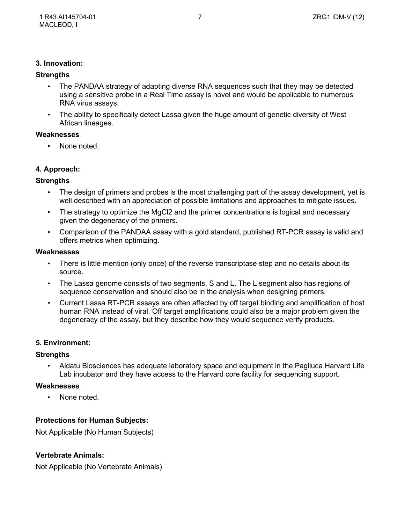## **3. Innovation:**

## **Strengths**

- The PANDAA strategy of adapting diverse RNA sequences such that they may be detected using a sensitive probe in a Real Time assay is novel and would be applicable to numerous RNA virus assays.
- The ability to specifically detect Lassa given the huge amount of genetic diversity of West African lineages.

## **Weaknesses**

• None noted.

# **4. Approach:**

## **Strengths**

- The design of primers and probes is the most challenging part of the assay development, yet is well described with an appreciation of possible limitations and approaches to mitigate issues.
- The strategy to optimize the MgCl2 and the primer concentrations is logical and necessary given the degeneracy of the primers.
- Comparison of the PANDAA assay with a gold standard, published RT-PCR assay is valid and offers metrics when optimizing.

#### **Weaknesses**

- There is little mention (only once) of the reverse transcriptase step and no details about its source.
- The Lassa genome consists of two segments, S and L. The L segment also has regions of sequence conservation and should also be in the analysis when designing primers.
- Current Lassa RT-PCR assays are often affected by off target binding and amplification of host human RNA instead of viral. Off target amplifications could also be a major problem given the degeneracy of the assay, but they describe how they would sequence verify products.

## **5. Environment:**

## **Strengths**

• Aldatu Biosciences has adequate laboratory space and equipment in the Pagliuca Harvard Life Lab incubator and they have access to the Harvard core facility for sequencing support.

## **Weaknesses**

None noted.

# **Protections for Human Subjects:**

Not Applicable (No Human Subjects)

# **Vertebrate Animals:**

Not Applicable (No Vertebrate Animals)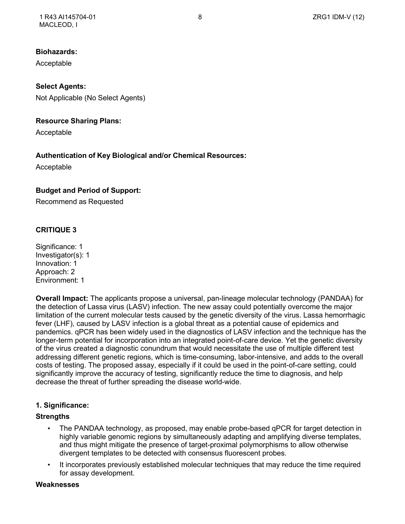## **Biohazards:**

Acceptable

**Select Agents:** Not Applicable (No Select Agents)

## **Resource Sharing Plans:**

Acceptable

# **Authentication of Key Biological and/or Chemical Resources:**

Acceptable

# **Budget and Period of Support:**

Recommend as Requested

# **CRITIQUE 3**

Significance: 1 Investigator(s): 1 Innovation: 1 Approach: 2 Environment: 1

**Overall Impact:** The applicants propose a universal, pan-lineage molecular technology (PANDAA) for the detection of Lassa virus (LASV) infection. The new assay could potentially overcome the major limitation of the current molecular tests caused by the genetic diversity of the virus. Lassa hemorrhagic fever (LHF), caused by LASV infection is a global threat as a potential cause of epidemics and pandemics. qPCR has been widely used in the diagnostics of LASV infection and the technique has the longer-term potential for incorporation into an integrated point-of-care device. Yet the genetic diversity of the virus created a diagnostic conundrum that would necessitate the use of multiple different test addressing different genetic regions, which is time-consuming, labor-intensive, and adds to the overall costs of testing. The proposed assay, especially if it could be used in the point-of-care setting, could significantly improve the accuracy of testing, significantly reduce the time to diagnosis, and help decrease the threat of further spreading the disease world-wide.

# **1. Significance:**

## **Strengths**

- The PANDAA technology, as proposed, may enable probe-based qPCR for target detection in highly variable genomic regions by simultaneously adapting and amplifying diverse templates, and thus might mitigate the presence of target-proximal polymorphisms to allow otherwise divergent templates to be detected with consensus fluorescent probes.
- It incorporates previously established molecular techniques that may reduce the time required for assay development.

## **Weaknesses**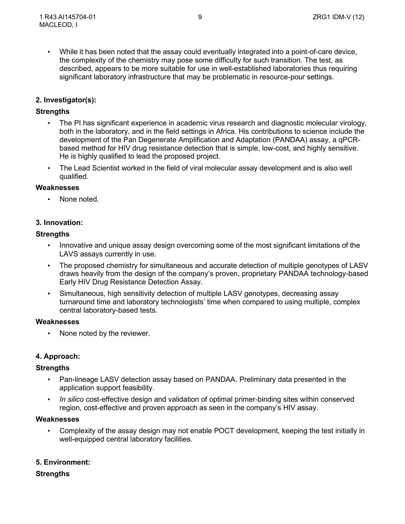• While it has been noted that the assay could eventually integrated into a point-of-care device, the complexity of the chemistry may pose some difficulty for such transition. The test, as described, appears to be more suitable for use in well-established laboratories thus requiring significant laboratory infrastructure that may be problematic in resource-pour settings.

## **2. Investigator(s):**

## **Strengths**

- The PI has significant experience in academic virus research and diagnostic molecular virology, both in the laboratory, and in the field settings in Africa. His contributions to science include the development of the Pan Degenerate Amplification and Adaptation (PANDAA) assay, a qPCRbased method for HIV drug resistance detection that is simple, low-cost, and highly sensitive. He is highly qualified to lead the proposed project.
- The Lead Scientist worked in the field of viral molecular assay development and is also well qualified.

#### **Weaknesses**

None noted.

## **3. Innovation:**

## **Strengths**

- Innovative and unique assay design overcoming some of the most significant limitations of the LAVS assays currently in use.
- The proposed chemistry for simultaneous and accurate detection of multiple genotypes of LASV draws heavily from the design of the company's proven, proprietary PANDAA technology-based Early HIV Drug Resistance Detection Assay.
- Simultaneous, high sensitivity detection of multiple LASV genotypes, decreasing assay turnaround time and laboratory technologists' time when compared to using multiple, complex central laboratory-based tests.

#### **Weaknesses**

• None noted by the reviewer.

## **4. Approach:**

## **Strengths**

- Pan-lineage LASV detection assay based on PANDAA. Preliminary data presented in the application support feasibility.
- *In silico* cost-effective design and validation of optimal primer-binding sites within conserved region, cost-effective and proven approach as seen in the company's HIV assay.

#### **Weaknesses**

• Complexity of the assay design may not enable POCT development, keeping the test initially in well-equipped central laboratory facilities.

## **5. Environment:**

## **Strengths**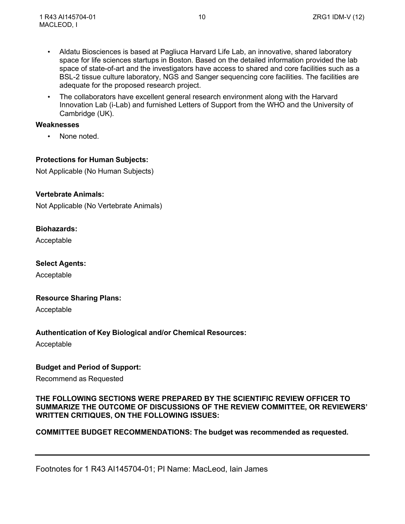- Aldatu Biosciences is based at Pagliuca Harvard Life Lab, an innovative, shared laboratory space for life sciences startups in Boston. Based on the detailed information provided the lab space of state-of-art and the investigators have access to shared and core facilities such as a BSL-2 tissue culture laboratory, NGS and Sanger sequencing core facilities. The facilities are adequate for the proposed research project.
- The collaborators have excellent general research environment along with the Harvard Innovation Lab (i-Lab) and furnished Letters of Support from the WHO and the University of Cambridge (UK).

#### **Weaknesses**

None noted.

## **Protections for Human Subjects:**

Not Applicable (No Human Subjects)

## **Vertebrate Animals:**

Not Applicable (No Vertebrate Animals)

## **Biohazards:**

Acceptable

#### **Select Agents:**

Acceptable

## **Resource Sharing Plans:**

Acceptable

## **Authentication of Key Biological and/or Chemical Resources:**

Acceptable

## **Budget and Period of Support:**

Recommend as Requested

## **THE FOLLOWING SECTIONS WERE PREPARED BY THE SCIENTIFIC REVIEW OFFICER TO SUMMARIZE THE OUTCOME OF DISCUSSIONS OF THE REVIEW COMMITTEE, OR REVIEWERS' WRITTEN CRITIQUES, ON THE FOLLOWING ISSUES:**

## **COMMITTEE BUDGET RECOMMENDATIONS: The budget was recommended as requested.**

Footnotes for 1 R43 AI145704-01; PI Name: MacLeod, Iain James